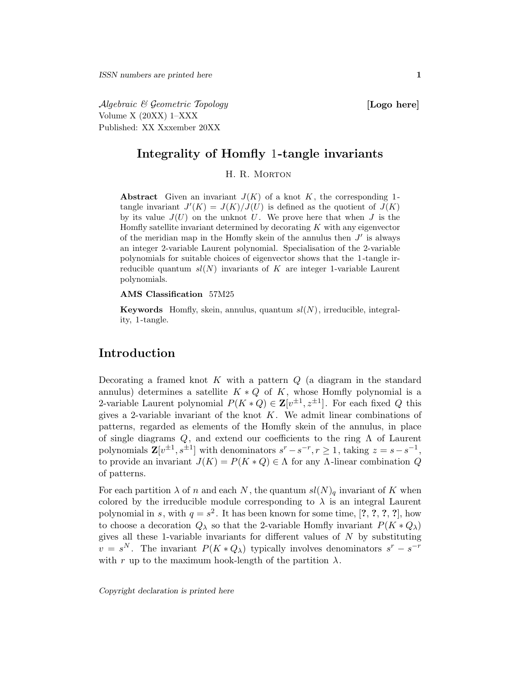Algebraic & Geometric Topology [Logo here] Volume X (20XX) 1–XXX Published: XX Xxxember 20XX

### Integrality of Homfly 1-tangle invariants

### H. R. MORTON

Abstract Given an invariant  $J(K)$  of a knot K, the corresponding 1tangle invariant  $J'(K) = J(K)/J(U)$  is defined as the quotient of  $J(K)$ by its value  $J(U)$  on the unknot U. We prove here that when  $J$  is the Homfly satellite invariant determined by decorating  $K$  with any eigenvector of the meridian map in the Homfly skein of the annulus then  $J'$  is always an integer 2-variable Laurent polynomial. Specialisation of the 2-variable polynomials for suitable choices of eigenvector shows that the 1 -tangle irreducible quantum  $sl(N)$  invariants of K are integer 1-variable Laurent polynomials.

#### AMS Classification 57M25

**Keywords** Homfly, skein, annulus, quantum  $sl(N)$ , irreducible, integrality, 1 -tangle.

# Introduction

Decorating a framed knot  $K$  with a pattern  $Q$  (a diagram in the standard annulus) determines a satellite  $K \ast Q$  of K, whose Homfly polynomial is a 2-variable Laurent polynomial  $P(K * Q) \in \mathbf{Z}[v^{\pm 1}, z^{\pm 1}]$ . For each fixed Q this gives a 2-variable invariant of the knot  $K$ . We admit linear combinations of patterns, regarded as elements of the Homfly skein of the annulus, in place of single diagrams  $Q$ , and extend our coefficients to the ring  $\Lambda$  of Laurent polynomials  $\mathbf{Z}[v^{\pm 1}, s^{\pm 1}]$  with denominators  $s^r - s^{-r}, r \ge 1$ , taking  $z = s - s^{-1}$ , to provide an invariant  $J(K) = P(K * Q) \in \Lambda$  for any  $\Lambda$ -linear combination Q of patterns.

For each partition  $\lambda$  of n and each N, the quantum  $sl(N)_q$  invariant of K when colored by the irreducible module corresponding to  $\lambda$  is an integral Laurent polynomial in s, with  $q = s^2$ . It has been known for some time, [?, ?, ?, ?], how to choose a decoration  $Q_{\lambda}$  so that the 2-variable Homfly invariant  $P(K \ast Q_{\lambda})$ gives all these 1-variable invariants for different values of  $N$  by substituting  $v = s^N$ . The invariant  $P(K * Q_\lambda)$  typically involves denominators  $s^r - s^{-r}$ with r up to the maximum hook-length of the partition  $\lambda$ .

Copyright declaration is printed here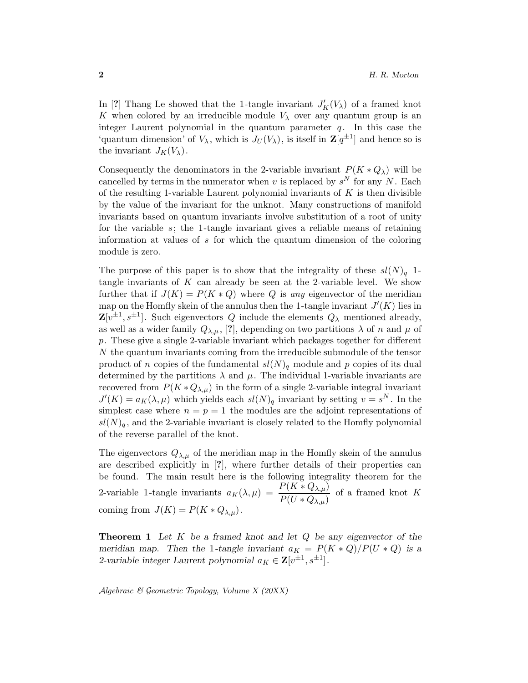In [?] Thang Le showed that the 1-tangle invariant  $J_K'(V_\lambda)$  of a framed knot K when colored by an irreducible module  $V_{\lambda}$  over any quantum group is an integer Laurent polynomial in the quantum parameter  $q$ . In this case the 'quantum dimension' of  $V_{\lambda}$ , which is  $J_U(V_{\lambda})$ , is itself in  $\mathbb{Z}[q^{\pm 1}]$  and hence so is the invariant  $J_K(V_\lambda)$ .

Consequently the denominators in the 2-variable invariant  $P(K * Q_\lambda)$  will be cancelled by terms in the numerator when v is replaced by  $s^N$  for any N. Each of the resulting 1-variable Laurent polynomial invariants of  $K$  is then divisible by the value of the invariant for the unknot. Many constructions of manifold invariants based on quantum invariants involve substitution of a root of unity for the variable  $s$ ; the 1-tangle invariant gives a reliable means of retaining information at values of s for which the quantum dimension of the coloring module is zero.

The purpose of this paper is to show that the integrality of these  $sl(N)<sub>q</sub>$  1tangle invariants of  $K$  can already be seen at the 2-variable level. We show further that if  $J(K) = P(K * Q)$  where Q is any eigenvector of the meridian map on the Homfly skein of the annulus then the 1-tangle invariant  $J'(K)$  lies in  $\mathbf{Z}[v^{\pm 1}, s^{\pm 1}]$ . Such eigenvectors Q include the elements  $Q_{\lambda}$  mentioned already, as well as a wider family  $Q_{\lambda,\mu}$ , [?], depending on two partitions  $\lambda$  of n and  $\mu$  of p. These give a single 2-variable invariant which packages together for different N the quantum invariants coming from the irreducible submodule of the tensor product of n copies of the fundamental  $sl(N)<sub>q</sub>$  module and p copies of its dual determined by the partitions  $\lambda$  and  $\mu$ . The individual 1-variable invariants are recovered from  $P(K \ast Q_{\lambda,\mu})$  in the form of a single 2-variable integral invariant  $J'(K) = a_K(\lambda, \mu)$  which yields each  $sl(N)_q$  invariant by setting  $v = s^N$ . In the simplest case where  $n = p = 1$  the modules are the adjoint representations of  $sl(N)<sub>a</sub>$ , and the 2-variable invariant is closely related to the Homfly polynomial of the reverse parallel of the knot.

The eigenvectors  $Q_{\lambda,\mu}$  of the meridian map in the Homfly skein of the annulus are described explicitly in [?], where further details of their properties can be found. The main result here is the following integrality theorem for the 2-variable 1-tangle invariants  $a_K(\lambda, \mu) = \frac{P(K * Q_{\lambda,\mu})}{P(U * Q_{\lambda,\mu})}$  of a framed knot K coming from  $J(K) = P(K * Q_{\lambda,\mu}).$ 

**Theorem 1** Let  $K$  be a framed knot and let  $Q$  be any eigenvector of the meridian map. Then the 1-tangle invariant  $a_K = P(K * Q)/P(U * Q)$  is a 2-variable integer Laurent polynomial  $a_K \in \mathbf{Z}[v^{\pm 1}, s^{\pm 1}]$ .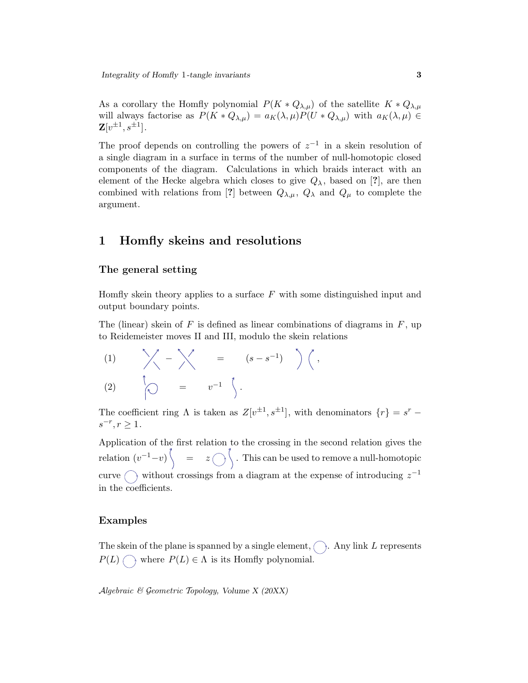As a corollary the Homfly polynomial  $P(K \ast Q_{\lambda,\mu})$  of the satellite  $K \ast Q_{\lambda,\mu}$ will always factorise as  $P(K * Q_{\lambda,\mu}) = a_K(\lambda,\mu)P(U * Q_{\lambda,\mu})$  with  $a_K(\lambda,\mu) \in$  $\mathbf{Z}[v^{\pm 1},s^{\pm 1}].$ 

The proof depends on controlling the powers of  $z^{-1}$  in a skein resolution of a single diagram in a surface in terms of the number of null-homotopic closed components of the diagram. Calculations in which braids interact with an element of the Hecke algebra which closes to give  $Q_{\lambda}$ , based on [?], are then combined with relations from [?] between  $Q_{\lambda,\mu}$ ,  $Q_{\lambda}$  and  $Q_{\mu}$  to complete the argument.

# 1 Homfly skeins and resolutions

### The general setting

Homfly skein theory applies to a surface  $F$  with some distinguished input and output boundary points.

The (linear) skein of  $F$  is defined as linear combinations of diagrams in  $F$ , up to Reidemeister moves II and III, modulo the skein relations

$$
(1) \qquad \searrow \qquad - \searrow \qquad = \qquad (s - s^{-1}) \qquad \Big\rangle \left( ,
$$
\n
$$
(2) \qquad \Big|_{\widehat{S}} \qquad = \qquad v^{-1} \quad \Big| \qquad .
$$

The coefficient ring  $\Lambda$  is taken as  $Z[v^{\pm 1}, s^{\pm 1}]$ , with denominators  $\{r\} = s^r$  –  $s^{-r}, r \ge 1.$ 

Application of the first relation to the crossing in the second relation gives the relation  $(v^{-1}-v)$   $\Big\} = z \bigcap \Big\}$ . This can be used to remove a null-homotopic curve  $\bigcap$  without crossings from a diagram at the expense of introducing  $z^{-1}$ in the coefficients.

### Examples

The skein of the plane is spanned by a single element,  $\bigcap$ . Any link L represents  $P(L) \cap \mathbb{R}$  where  $P(L) \in \Lambda$  is its Homfly polynomial.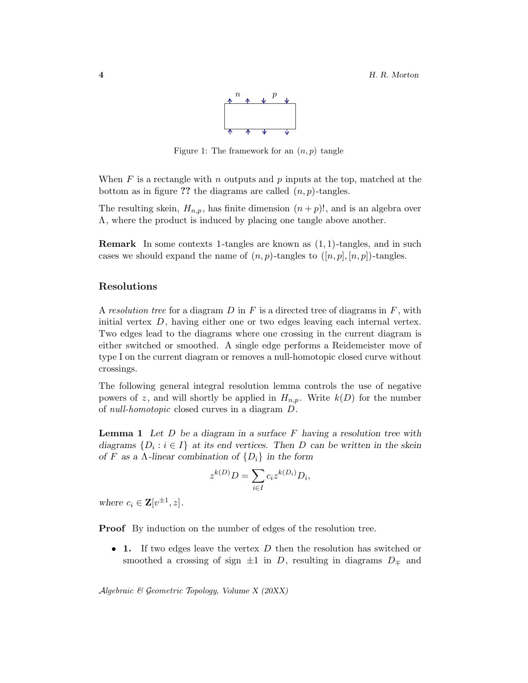

Figure 1: The framework for an  $(n, p)$  tangle

When  $F$  is a rectangle with  $n$  outputs and  $p$  inputs at the top, matched at the bottom as in figure ?? the diagrams are called  $(n, p)$ -tangles.

The resulting skein,  $H_{n,p}$ , has finite dimension  $(n+p)!$ , and is an algebra over Λ, where the product is induced by placing one tangle above another.

**Remark** In some contexts 1-tangles are known as  $(1, 1)$ -tangles, and in such cases we should expand the name of  $(n, p)$ -tangles to  $([n, p], [n, p])$ -tangles.

### Resolutions

A resolution tree for a diagram  $D$  in  $F$  is a directed tree of diagrams in  $F$ , with initial vertex D, having either one or two edges leaving each internal vertex. Two edges lead to the diagrams where one crossing in the current diagram is either switched or smoothed. A single edge performs a Reidemeister move of type I on the current diagram or removes a null-homotopic closed curve without crossings.

The following general integral resolution lemma controls the use of negative powers of z, and will shortly be applied in  $H_{n,p}$ . Write  $k(D)$  for the number of null-homotopic closed curves in a diagram D.

**Lemma 1** Let  $D$  be a diagram in a surface  $F$  having a resolution tree with diagrams  $\{D_i : i \in I\}$  at its end vertices. Then D can be written in the skein of F as a  $\Lambda$ -linear combination of  $\{D_i\}$  in the form

$$
z^{k(D)}D = \sum_{i \in I} c_i z^{k(D_i)} D_i,
$$

where  $c_i \in \mathbf{Z}[v^{\pm 1}, z]$ .

Proof By induction on the number of edges of the resolution tree.

• 1. If two edges leave the vertex  $D$  then the resolution has switched or smoothed a crossing of sign  $\pm 1$  in D, resulting in diagrams  $D_{\mp}$  and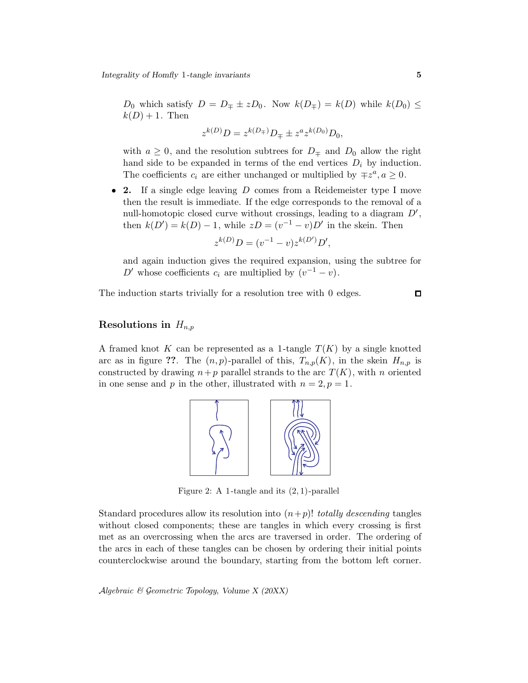$D_0$  which satisfy  $D = D_{\pm} \pm z D_0$ . Now  $k(D_{\mp}) = k(D)$  while  $k(D_0) \leq$  $k(D) + 1$ . Then

$$
z^{k(D)}D = z^{k(D_{\mp})}D_{\mp} \pm z^a z^{k(D_0)}D_0,
$$

with  $a \geq 0$ , and the resolution subtrees for  $D_{\pm}$  and  $D_0$  allow the right hand side to be expanded in terms of the end vertices  $D_i$  by induction. The coefficients  $c_i$  are either unchanged or multiplied by  $\mp z^a, a \geq 0$ .

• 2. If a single edge leaving D comes from a Reidemeister type I move then the result is immediate. If the edge corresponds to the removal of a null-homotopic closed curve without crossings, leading to a diagram  $D'$ , then  $k(D') = k(D) - 1$ , while  $zD = (v^{-1} - v)D'$  in the skein. Then

$$
z^{k(D)}D = (v^{-1} - v)z^{k(D')}D',
$$

and again induction gives the required expansion, using the subtree for D' whose coefficients  $c_i$  are multiplied by  $(v^{-1} - v)$ .

The induction starts trivially for a resolution tree with 0 edges.

# $\Box$

### Resolutions in  $H_{n,p}$

A framed knot K can be represented as a 1-tangle  $T(K)$  by a single knotted arc as in figure ??. The  $(n, p)$ -parallel of this,  $T_{n,p}(K)$ , in the skein  $H_{n,p}$  is constructed by drawing  $n+p$  parallel strands to the arc  $T(K)$ , with n oriented in one sense and p in the other, illustrated with  $n = 2, p = 1$ .



Figure 2: A 1-tangle and its  $(2, 1)$ -parallel

Standard procedures allow its resolution into  $(n+p)!$  totally descending tangles without closed components; these are tangles in which every crossing is first met as an overcrossing when the arcs are traversed in order. The ordering of the arcs in each of these tangles can be chosen by ordering their initial points counterclockwise around the boundary, starting from the bottom left corner.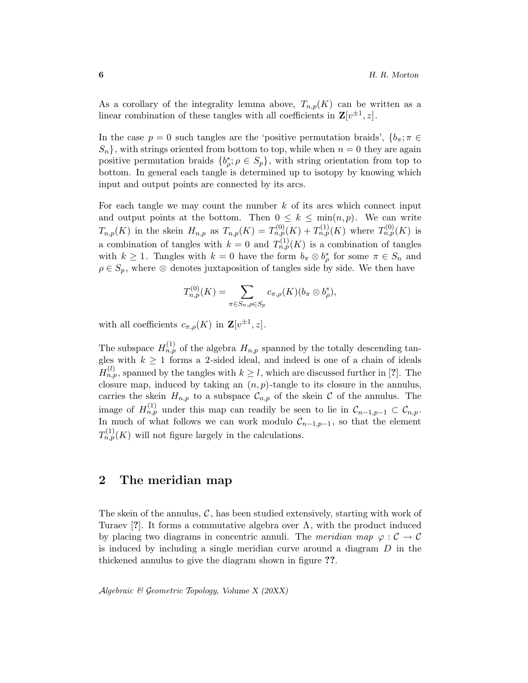As a corollary of the integrality lemma above,  $T_{n,p}(K)$  can be written as a linear combination of these tangles with all coefficients in  $\mathbf{Z}[v^{\pm 1}, z]$ .

In the case  $p = 0$  such tangles are the 'positive permutation braids',  ${b_{\pi}}$ ;  ${\pi \in}$  $S_n$ , with strings oriented from bottom to top, while when  $n = 0$  they are again positive permutation braids  $\{b_{\rho}^*, \rho \in S_p\}$ , with string orientation from top to bottom. In general each tangle is determined up to isotopy by knowing which input and output points are connected by its arcs.

For each tangle we may count the number  $k$  of its arcs which connect input and output points at the bottom. Then  $0 \leq k \leq \min(n, p)$ . We can write  $T_{n,p}(K)$  in the skein  $H_{n,p}$  as  $T_{n,p}(K) = T_{n,p}^{(0)}(K) + T_{n,p}^{(1)}(K)$  where  $T_{n,p}^{(0)}(K)$  is a combination of tangles with  $k=0$  and  $T_{n,p}^{(1)}(K)$  is a combination of tangles with  $k \geq 1$ . Tangles with  $k = 0$  have the form  $b_{\pi} \otimes b_{\rho}^*$  for some  $\pi \in S_n$  and  $\rho \in S_p$ , where ⊗ denotes juxtaposition of tangles side by side. We then have

$$
T_{n,p}^{(0)}(K)=\sum_{\pi\in S_n,\rho\in S_p}c_{\pi,\rho}(K)(b_{\pi}\otimes b_{\rho}^*),
$$

with all coefficients  $c_{\pi,\rho}(K)$  in  $\mathbf{Z}[v^{\pm 1},z]$ .

The subspace  $H_{n,p}^{(1)}$  of the algebra  $H_{n,p}$  spanned by the totally descending tangles with  $k \geq 1$  forms a 2-sided ideal, and indeed is one of a chain of ideals  $H_{n,p}^{(l)}$ , spanned by the tangles with  $k \geq l$ , which are discussed further in [?]. The closure map, induced by taking an  $(n, p)$ -tangle to its closure in the annulus, carries the skein  $H_{n,p}$  to a subspace  $\mathcal{C}_{n,p}$  of the skein  $\mathcal C$  of the annulus. The image of  $H_{n,p}^{(1)}$  under this map can readily be seen to lie in  $\mathcal{C}_{n-1,p-1} \subset \mathcal{C}_{n,p}$ . In much of what follows we can work modulo  $\mathcal{C}_{n-1,p-1}$ , so that the element  $T_{n,p}^{(1)}(K)$  will not figure largely in the calculations.

# 2 The meridian map

The skein of the annulus,  $\mathcal{C}$ , has been studied extensively, starting with work of Turaev [?]. It forms a commutative algebra over  $\Lambda$ , with the product induced by placing two diagrams in concentric annuli. The meridian map  $\varphi : \mathcal{C} \to \mathcal{C}$ is induced by including a single meridian curve around a diagram  $D$  in the thickened annulus to give the diagram shown in figure ??.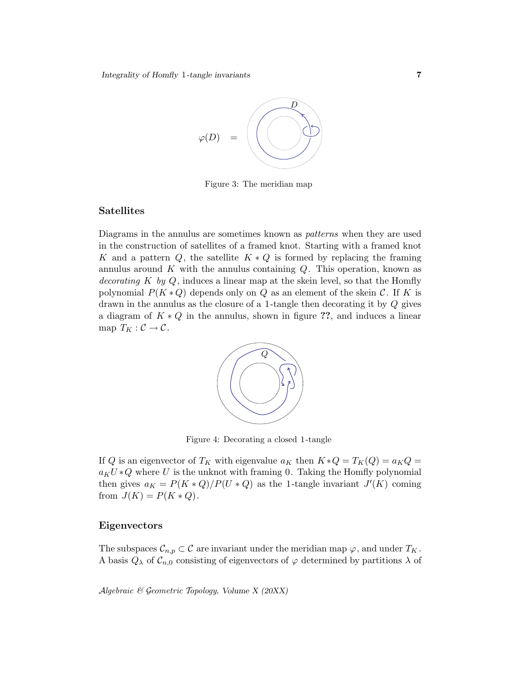

Figure 3: The meridian map

### Satellites

Diagrams in the annulus are sometimes known as patterns when they are used in the construction of satellites of a framed knot. Starting with a framed knot K and a pattern  $Q$ , the satellite  $K \times Q$  is formed by replacing the framing annulus around  $K$  with the annulus containing  $Q$ . This operation, known as decorating K by  $Q$ , induces a linear map at the skein level, so that the Homfly polynomial  $P(K \ast Q)$  depends only on Q as an element of the skein C. If K is drawn in the annulus as the closure of a 1-tangle then decorating it by Q gives a diagram of  $K \times Q$  in the annulus, shown in figure ??, and induces a linear map  $T_K: \mathcal{C} \to \mathcal{C}$ .



Figure 4: Decorating a closed 1 -tangle

If Q is an eigenvector of  $T_K$  with eigenvalue  $a_K$  then  $K \ast Q = T_K(Q) = a_K Q =$  $a_K U * Q$  where U is the unknot with framing 0. Taking the Homfly polynomial then gives  $a_K = P(K * Q)/P(U * Q)$  as the 1-tangle invariant  $J'(K)$  coming from  $J(K) = P(K * Q)$ .

### Eigenvectors

The subspaces  $\mathcal{C}_{n,p} \subset \mathcal{C}$  are invariant under the meridian map  $\varphi$ , and under  $T_K$ . A basis  $Q_{\lambda}$  of  $\mathcal{C}_{n,0}$  consisting of eigenvectors of  $\varphi$  determined by partitions  $\lambda$  of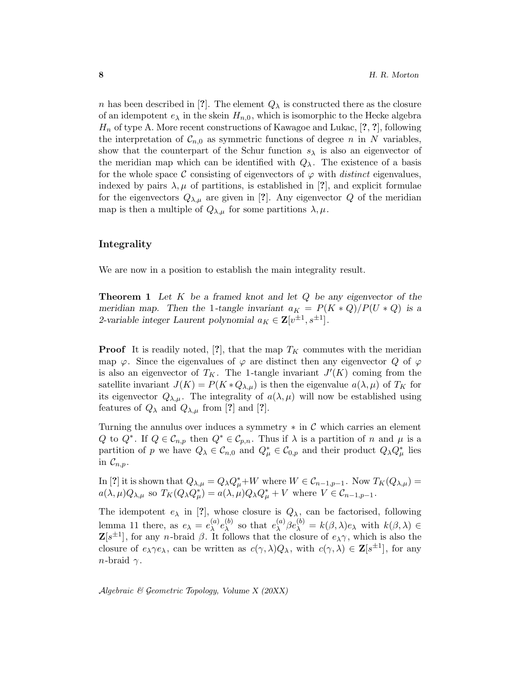n has been described in [?]. The element  $Q_{\lambda}$  is constructed there as the closure of an idempotent  $e_{\lambda}$  in the skein  $H_{n,0}$ , which is isomorphic to the Hecke algebra  $H_n$  of type A. More recent constructions of Kawagoe and Lukac, [?, ?], following the interpretation of  $\mathcal{C}_{n,0}$  as symmetric functions of degree n in N variables, show that the counterpart of the Schur function  $s_{\lambda}$  is also an eigenvector of the meridian map which can be identified with  $Q_{\lambda}$ . The existence of a basis for the whole space C consisting of eigenvectors of  $\varphi$  with distinct eigenvalues, indexed by pairs  $\lambda, \mu$  of partitions, is established in [?], and explicit formulae for the eigenvectors  $Q_{\lambda,\mu}$  are given in [?]. Any eigenvector Q of the meridian map is then a multiple of  $Q_{\lambda,\mu}$  for some partitions  $\lambda,\mu$ .

### Integrality

We are now in a position to establish the main integrality result.

**Theorem 1** Let  $K$  be a framed knot and let  $Q$  be any eigenvector of the meridian map. Then the 1-tangle invariant  $a_K = P(K * Q)/P(U * Q)$  is a 2-variable integer Laurent polynomial  $a_K \in \mathbf{Z}[v^{\pm 1}, s^{\pm 1}]$ .

**Proof** It is readily noted, [?], that the map  $T_K$  commutes with the meridian map  $\varphi$ . Since the eigenvalues of  $\varphi$  are distinct then any eigenvector Q of  $\varphi$ is also an eigenvector of  $T_K$ . The 1-tangle invariant  $J'(K)$  coming from the satellite invariant  $J(K) = P(K \ast Q_{\lambda,\mu})$  is then the eigenvalue  $a(\lambda,\mu)$  of  $T_K$  for its eigenvector  $Q_{\lambda,\mu}$ . The integrality of  $a(\lambda,\mu)$  will now be established using features of  $Q_{\lambda}$  and  $Q_{\lambda,\mu}$  from [?] and [?].

Turning the annulus over induces a symmetry ∗ in C which carries an element Q to  $Q^*$ . If  $Q \in \mathcal{C}_{n,p}$  then  $Q^* \in \mathcal{C}_{p,n}$ . Thus if  $\lambda$  is a partition of n and  $\mu$  is a partition of p we have  $Q_{\lambda} \in \mathcal{C}_{n,0}$  and  $Q_{\mu}^* \in \mathcal{C}_{0,p}$  and their product  $Q_{\lambda} Q_{\mu}^*$  lies in  $\mathcal{C}_{n,p}$ .

In [?] it is shown that  $Q_{\lambda,\mu} = Q_{\lambda} Q_{\mu}^* + W$  where  $W \in \mathcal{C}_{n-1,p-1}$ . Now  $T_K(Q_{\lambda,\mu}) =$  $a(\lambda,\mu)Q_{\lambda,\mu}$  so  $T_K(Q_\lambda Q_\mu^*)=a(\lambda,\mu)Q_\lambda Q_\mu^*+V$  where  $V\in \mathcal{C}_{n-1,p-1}$ .

The idempotent  $e_{\lambda}$  in [?], whose closure is  $Q_{\lambda}$ , can be factorised, following lemma 11 there, as  $e_{\lambda} = e_{\lambda}^{(a)}$  $_{\lambda}^{(a)}e_{\lambda}^{(b)}$  $\lambda^{(b)}$  so that  $e_{\lambda}^{(a)}$  $\chi_{\lambda}^{(a)}\beta e_{\lambda}^{(b)} = k(\beta,\lambda)e_{\lambda}$  with  $k(\beta,\lambda) \in$  $\mathbf{Z}[s^{\pm 1}]$ , for any *n*-braid  $\beta$ . It follows that the closure of  $e_{\lambda}\gamma$ , which is also the closure of  $e_{\lambda} \gamma e_{\lambda}$ , can be written as  $c(\gamma, \lambda) Q_{\lambda}$ , with  $c(\gamma, \lambda) \in \mathbb{Z}[s^{\pm 1}]$ , for any *n*-braid  $\gamma$ .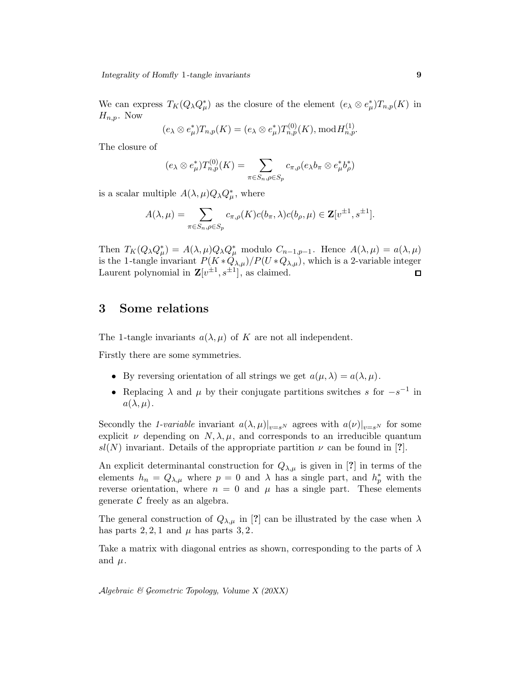We can express  $T_K(Q_\lambda Q_\mu^*)$  as the closure of the element  $(e_\lambda \otimes e_\mu^*)T_{n,p}(K)$  in  $H_{n,p}$ . Now

$$
(e_{\lambda} \otimes e_{\mu}^* )T_{n,p}(K) = (e_{\lambda} \otimes e_{\mu}^* )T_{n,p}^{(0)}(K), \bmod H_{n,p}^{(1)}.
$$

The closure of

$$
(e_{\lambda} \otimes e_{\mu}^*) T_{n,p}^{(0)}(K) = \sum_{\pi \in S_n, \rho \in S_p} c_{\pi,\rho}(e_{\lambda} b_{\pi} \otimes e_{\mu}^* b_{\rho}^*)
$$

is a scalar multiple  $A(\lambda,\mu)Q_{\lambda}Q_{\mu}^*$ , where

$$
A(\lambda,\mu) = \sum_{\pi \in S_n, \rho \in S_p} c_{\pi,\rho}(K)c(b_{\pi},\lambda)c(b_{\rho},\mu) \in \mathbf{Z}[v^{\pm 1},s^{\pm 1}].
$$

Then  $T_K(Q_\lambda Q_\mu^*) = A(\lambda, \mu) Q_\lambda Q_\mu^*$  modulo  $C_{n-1,p-1}$ . Hence  $A(\lambda, \mu) = a(\lambda, \mu)$ is the 1-tangle invariant  $P(K \ast Q_{\lambda,\mu})/P(U \ast Q_{\lambda,\mu})$ , which is a 2-variable integer Laurent polynomial in  $\mathbf{Z}[v^{\pm 1}, s^{\pm 1}]$ , as claimed. □

# 3 Some relations

The 1-tangle invariants  $a(\lambda, \mu)$  of K are not all independent.

Firstly there are some symmetries.

- By reversing orientation of all strings we get  $a(\mu, \lambda) = a(\lambda, \mu)$ .
- Replacing  $\lambda$  and  $\mu$  by their conjugate partitions switches s for  $-s^{-1}$  in  $a(\lambda,\mu).$

Secondly the 1-variable invariant  $a(\lambda, \mu)|_{v=s^N}$  agrees with  $a(\nu)|_{v=s^N}$  for some explicit  $\nu$  depending on  $N, \lambda, \mu$ , and corresponds to an irreducible quantum  $sl(N)$  invariant. Details of the appropriate partition  $\nu$  can be found in [?].

An explicit determinantal construction for  $Q_{\lambda,\mu}$  is given in [?] in terms of the elements  $h_n = Q_{\lambda,\mu}$  where  $p = 0$  and  $\lambda$  has a single part, and  $h_p^*$  with the reverse orientation, where  $n = 0$  and  $\mu$  has a single part. These elements generate  $\mathcal C$  freely as an algebra.

The general construction of  $Q_{\lambda,\mu}$  in [?] can be illustrated by the case when  $\lambda$ has parts  $2, 2, 1$  and  $\mu$  has parts  $3, 2$ .

Take a matrix with diagonal entries as shown, corresponding to the parts of  $\lambda$ and  $\mu$ .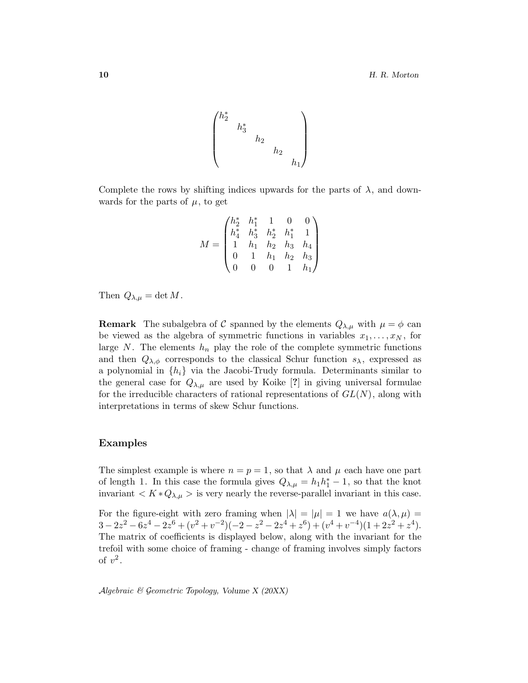$$
\begin{pmatrix} h_2^* & & & \\ & h_3^* & & \\ & & h_2 & \\ & & & h_2 & \\ & & & & h_1 \end{pmatrix}
$$

Complete the rows by shifting indices upwards for the parts of  $\lambda$ , and downwards for the parts of  $\mu$ , to get

$$
M = \begin{pmatrix} h_2^* & h_1^* & 1 & 0 & 0 \\ h_4^* & h_3^* & h_2^* & h_1^* & 1 \\ 1 & h_1 & h_2 & h_3 & h_4 \\ 0 & 1 & h_1 & h_2 & h_3 \\ 0 & 0 & 0 & 1 & h_1 \end{pmatrix}
$$

Then  $Q_{\lambda,\mu} = \det M$ .

**Remark** The subalgebra of C spanned by the elements  $Q_{\lambda,\mu}$  with  $\mu = \phi$  can be viewed as the algebra of symmetric functions in variables  $x_1, \ldots, x_N$ , for large  $N$ . The elements  $h_n$  play the role of the complete symmetric functions and then  $Q_{\lambda,\phi}$  corresponds to the classical Schur function  $s_{\lambda}$ , expressed as a polynomial in  $\{h_i\}$  via the Jacobi-Trudy formula. Determinants similar to the general case for  $Q_{\lambda,\mu}$  are used by Koike [?] in giving universal formulae for the irreducible characters of rational representations of  $GL(N)$ , along with interpretations in terms of skew Schur functions.

### Examples

The simplest example is where  $n = p = 1$ , so that  $\lambda$  and  $\mu$  each have one part of length 1. In this case the formula gives  $Q_{\lambda,\mu} = h_1 h_1^* - 1$ , so that the knot invariant  $\langle K \ast Q_{\lambda,\mu} \rangle$  is very nearly the reverse-parallel invariant in this case.

For the figure-eight with zero framing when  $|\lambda| = |\mu| = 1$  we have  $a(\lambda, \mu) =$  $3-2z^2-6z^4-2z^6+(v^2+v^{-2})(-2-z^2-2z^4+z^6)+(v^4+v^{-4})(1+2z^2+z^4).$ The matrix of coefficients is displayed below, along with the invariant for the trefoil with some choice of framing - change of framing involves simply factors of  $v^2$ .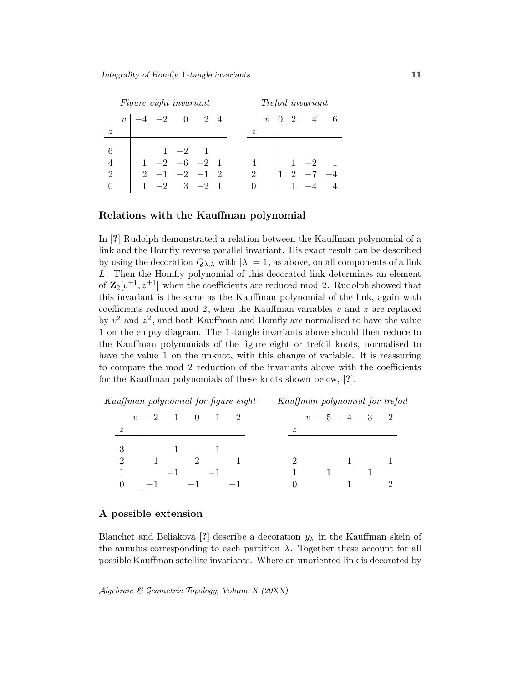|                | Figure eight invariant |  |                      |          |               |  | Trefoil invariant |  |            |  |                                                            |  |
|----------------|------------------------|--|----------------------|----------|---------------|--|-------------------|--|------------|--|------------------------------------------------------------|--|
|                |                        |  | $v \mid -4$ -2 0 2 4 |          |               |  |                   |  | $v\perp 0$ |  | $2 \quad 4 \quad 6$                                        |  |
| $\tilde{z}$    |                        |  |                      |          |               |  |                   |  |            |  |                                                            |  |
| 6              |                        |  |                      | $1 -2 1$ |               |  |                   |  |            |  |                                                            |  |
|                |                        |  | $1 -2 -6 -2 1$       |          |               |  |                   |  |            |  | $\begin{array}{ccc} 1 & -2 & 1 \\ 2 & -7 & -4 \end{array}$ |  |
| $\overline{2}$ |                        |  | $2 -1 -2 -1 2$       |          |               |  | 2                 |  |            |  |                                                            |  |
|                |                        |  |                      |          | $-2$ 3 $-2$ 1 |  | $\theta$          |  |            |  |                                                            |  |

### Relations with the Kauffman polynomial

In [?] Rudolph demonstrated a relation between the Kauffman polynomial of a link and the Homfly reverse parallel invariant. His exact result can be described by using the decoration  $Q_{\lambda,\lambda}$  with  $|\lambda|=1$ , as above, on all components of a link L. Then the Homfly polynomial of this decorated link determines an element of  $\mathbf{Z}_2[v^{\pm 1}, z^{\pm 1}]$  when the coefficients are reduced mod 2. Rudolph showed that this invariant is the same as the Kauffman polynomial of the link, again with coefficients reduced mod 2, when the Kauffman variables  $v$  and  $z$  are replaced by  $v^2$  and  $z^2$ , and both Kauffman and Homfly are normalised to have the value 1 on the empty diagram. The 1-tangle invariants above should then reduce to the Kauffman polynomials of the figure eight or trefoil knots, normalised to have the value 1 on the unknot, with this change of variable. It is reassuring to compare the mod 2 reduction of the invariants above with the coefficients for the Kauffman polynomials of these knots shown below, [?].

Kauffman polynomial for figure eight Kauffman polynomial for trefoil

|                  | $\begin{array}{ c c c c c c c c } \hline v&-2&-1&0&1&2 \ \hline \end{array}$ |  |  |                                            | $v \mid -5 \quad -4 \quad -3 \quad -2$ |                                   |
|------------------|------------------------------------------------------------------------------|--|--|--------------------------------------------|----------------------------------------|-----------------------------------|
| $\boldsymbol{z}$ |                                                                              |  |  | $\overline{z}$                             |                                        |                                   |
|                  | $\begin{array}{c ccccc}\n3 & 1 & 1\n\end{array}$                             |  |  |                                            |                                        |                                   |
|                  | $2 \begin{array}{ c c c } \hline 1 & 2 & 1 \end{array}$                      |  |  | $\begin{array}{ccc} 2 & 1 & 1 \end{array}$ |                                        |                                   |
|                  | $1 \quad \vert \quad -1 \quad \quad -1$                                      |  |  |                                            |                                        | $1 \qquad \qquad 1 \qquad \qquad$ |
|                  | $0 \t -1 \t -1 \t -1$                                                        |  |  | $0 \quad 1 \quad 2$                        |                                        |                                   |

### A possible extension

Blanchet and Beliakova [?] describe a decoration  $y_{\lambda}$  in the Kauffman skein of the annulus corresponding to each partition  $\lambda$ . Together these account for all possible Kauffman satellite invariants. Where an unoriented link is decorated by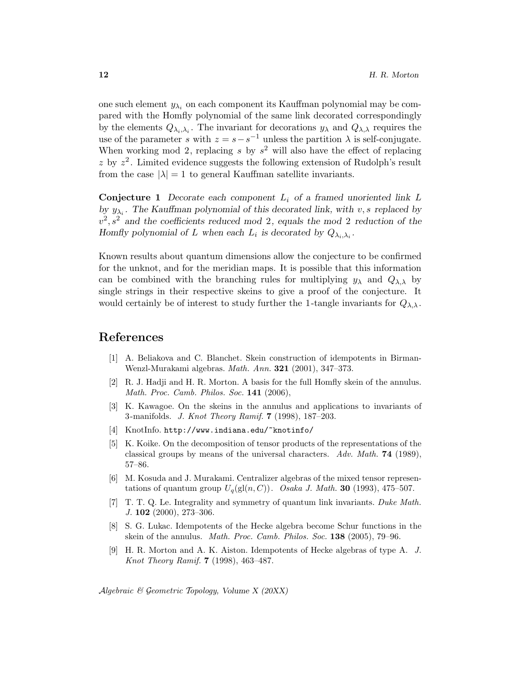one such element  $y_{\lambda_i}$  on each component its Kauffman polynomial may be compared with the Homfly polynomial of the same link decorated correspondingly by the elements  $Q_{\lambda_i,\lambda_i}$ . The invariant for decorations  $y_\lambda$  and  $Q_{\lambda,\lambda}$  requires the use of the parameter s with  $z = s - s^{-1}$  unless the partition  $\lambda$  is self-conjugate. When working mod 2, replacing s by  $s^2$  will also have the effect of replacing z by  $z^2$ . Limited evidence suggests the following extension of Rudolph's result from the case  $|\lambda| = 1$  to general Kauffman satellite invariants.

**Conjecture 1** Decorate each component  $L_i$  of a framed unoriented link  $L$ by  $y_{\lambda_i}$ . The Kauffman polynomial of this decorated link, with v, s replaced by  $v^2$ ,  $s^2$  and the coefficients reduced mod 2, equals the mod 2 reduction of the Homfly polynomial of L when each  $L_i$  is decorated by  $Q_{\lambda_i, \lambda_i}$ .

Known results about quantum dimensions allow the conjecture to be confirmed for the unknot, and for the meridian maps. It is possible that this information can be combined with the branching rules for multiplying  $y_{\lambda}$  and  $Q_{\lambda,\lambda}$  by single strings in their respective skeins to give a proof of the conjecture. It would certainly be of interest to study further the 1-tangle invariants for  $Q_{\lambda,\lambda}$ .

# References

- [1] A. Beliakova and C. Blanchet. Skein construction of idempotents in Birman-Wenzl-Murakami algebras. Math. Ann. 321 (2001), 347–373.
- [2] R. J. Hadji and H. R. Morton. A basis for the full Homfly skein of the annulus. Math. Proc. Camb. Philos. Soc. 141 (2006),
- [3] K. Kawagoe. On the skeins in the annulus and applications to invariants of 3 -manifolds. J. Knot Theory Ramif. 7 (1998), 187–203.
- [4] KnotInfo. http://www.indiana.edu/~knotinfo/
- [5] K. Koike. On the decomposition of tensor products of the representations of the classical groups by means of the universal characters. Adv. Math. **74** (1989), 57–86.
- [6] M. Kosuda and J. Murakami. Centralizer algebras of the mixed tensor representations of quantum group  $U_q(\text{gl}(n, C))$ . Osaka J. Math. **30** (1993), 475–507.
- [7] T. T. Q. Le. Integrality and symmetry of quantum link invariants. Duke Math. J. 102 (2000), 273–306.
- [8] S. G. Lukac. Idempotents of the Hecke algebra become Schur functions in the skein of the annulus. Math. Proc. Camb. Philos. Soc. 138 (2005), 79–96.
- [9] H. R. Morton and A. K. Aiston. Idempotents of Hecke algebras of type A. J. Knot Theory Ramif. 7 (1998), 463–487.

Algebraic  $\mathcal C$  Geometric Topology, Volume X (20XX)